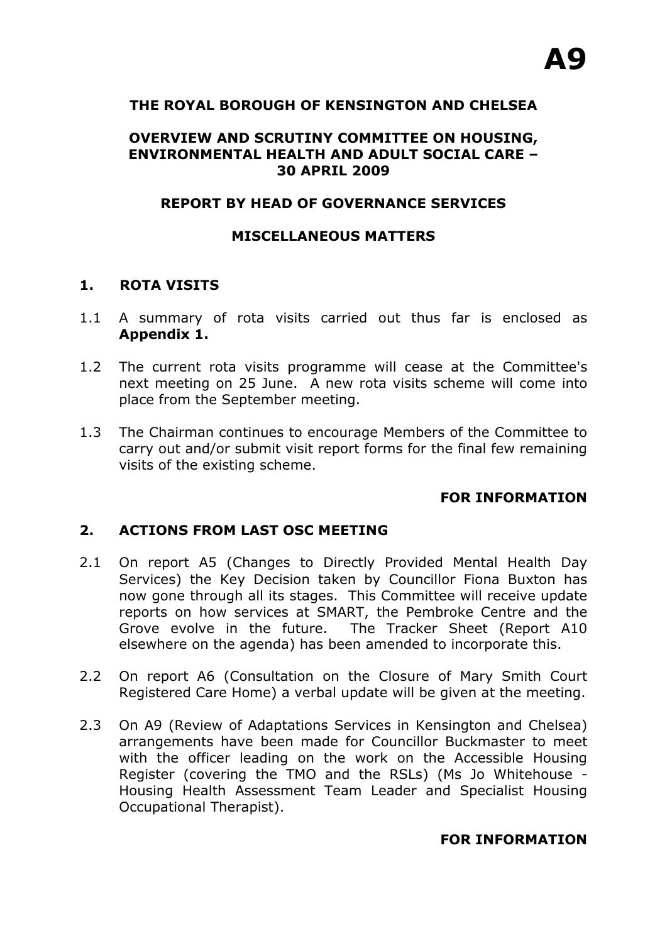# **THE ROYAL BOROUGH OF KENSINGTON AND CHELSEA**

#### **OVERVIEW AND SCRUTINY COMMITTEE ON HOUSING, ENVIRONMENTAL HEALTH AND ADULT SOCIAL CARE – 30 APRIL 2009**

#### **REPORT BY HEAD OF GOVERNANCE SERVICES**

#### **MISCELLANEOUS MATTERS**

#### **1. ROTA VISITS**

- 1.1 A summary of rota visits carried out thus far is enclosed as **Appendix 1.**
- 1.2 The current rota visits programme will cease at the Committee's next meeting on 25 June. A new rota visits scheme will come into place from the September meeting.
- 1.3 The Chairman continues to encourage Members of the Committee to carry out and/or submit visit report forms for the final few remaining visits of the existing scheme.

# **FOR INFORMATION**

#### **2. ACTIONS FROM LAST OSC MEETING**

- 2.1 On report A5 (Changes to Directly Provided Mental Health Day Services) the Key Decision taken by Councillor Fiona Buxton has now gone through all its stages. This Committee will receive update reports on how services at SMART, the Pembroke Centre and the Grove evolve in the future. The Tracker Sheet (Report A10 elsewhere on the agenda) has been amended to incorporate this.
- 2.2 On report A6 (Consultation on the Closure of Mary Smith Court Registered Care Home) a verbal update will be given at the meeting.
- 2.3 On A9 (Review of Adaptations Services in Kensington and Chelsea) arrangements have been made for Councillor Buckmaster to meet with the officer leading on the work on the Accessible Housing Register (covering the TMO and the RSLs) (Ms Jo Whitehouse - Housing Health Assessment Team Leader and Specialist Housing Occupational Therapist).

#### **FOR INFORMATION**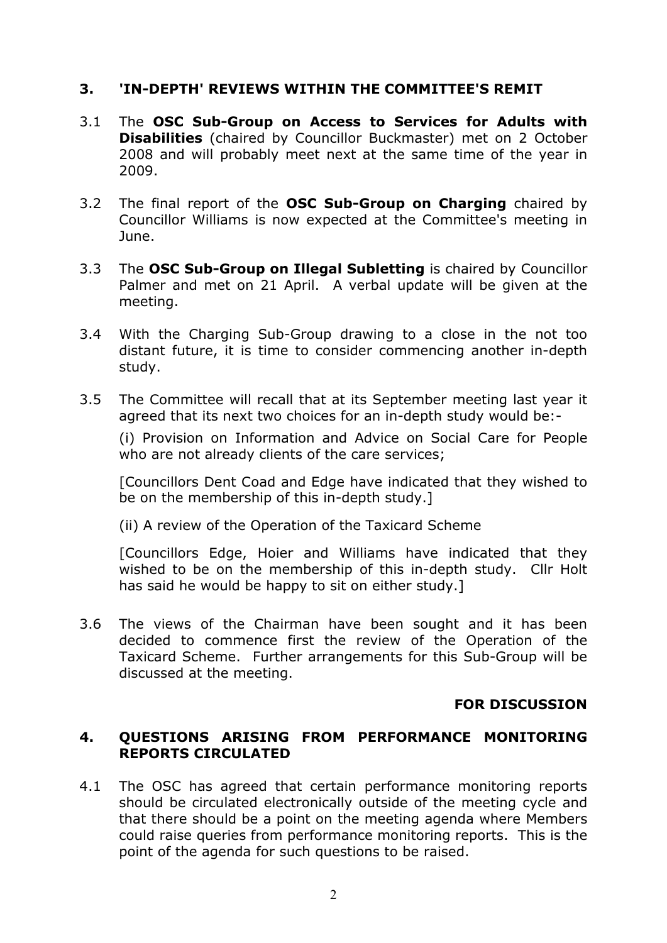# **3. 'IN-DEPTH' REVIEWS WITHIN THE COMMITTEE'S REMIT**

- 3.1 The **OSC Sub-Group on Access to Services for Adults with Disabilities** (chaired by Councillor Buckmaster) met on 2 October 2008 and will probably meet next at the same time of the year in 2009.
- 3.2 The final report of the **OSC Sub-Group on Charging** chaired by Councillor Williams is now expected at the Committee's meeting in June.
- 3.3 The **OSC Sub-Group on Illegal Subletting** is chaired by Councillor Palmer and met on 21 April. A verbal update will be given at the meeting.
- 3.4 With the Charging Sub-Group drawing to a close in the not too distant future, it is time to consider commencing another in-depth study.
- 3.5 The Committee will recall that at its September meeting last year it agreed that its next two choices for an in-depth study would be:-

(i) Provision on Information and Advice on Social Care for People who are not already clients of the care services;

[Councillors Dent Coad and Edge have indicated that they wished to be on the membership of this in-depth study.]

(ii) A review of the Operation of the Taxicard Scheme

[Councillors Edge, Hoier and Williams have indicated that they wished to be on the membership of this in-depth study. Cllr Holt has said he would be happy to sit on either study.]

3.6 The views of the Chairman have been sought and it has been decided to commence first the review of the Operation of the Taxicard Scheme. Further arrangements for this Sub-Group will be discussed at the meeting.

# **FOR DISCUSSION**

# **4. QUESTIONS ARISING FROM PERFORMANCE MONITORING REPORTS CIRCULATED**

4.1 The OSC has agreed that certain performance monitoring reports should be circulated electronically outside of the meeting cycle and that there should be a point on the meeting agenda where Members could raise queries from performance monitoring reports. This is the point of the agenda for such questions to be raised.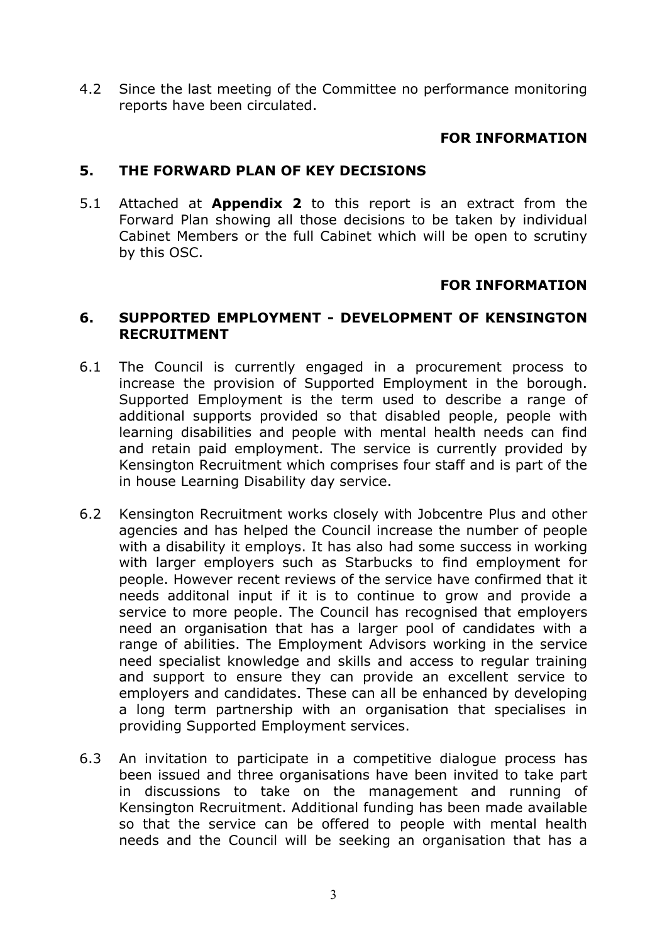4.2 Since the last meeting of the Committee no performance monitoring reports have been circulated.

# **FOR INFORMATION**

### **5. THE FORWARD PLAN OF KEY DECISIONS**

5.1 Attached at **Appendix 2** to this report is an extract from the Forward Plan showing all those decisions to be taken by individual Cabinet Members or the full Cabinet which will be open to scrutiny by this OSC.

# **FOR INFORMATION**

#### **6. SUPPORTED EMPLOYMENT - DEVELOPMENT OF KENSINGTON RECRUITMENT**

- 6.1 The Council is currently engaged in a procurement process to increase the provision of Supported Employment in the borough. Supported Employment is the term used to describe a range of additional supports provided so that disabled people, people with learning disabilities and people with mental health needs can find and retain paid employment. The service is currently provided by Kensington Recruitment which comprises four staff and is part of the in house Learning Disability day service.
- 6.2 Kensington Recruitment works closely with Jobcentre Plus and other agencies and has helped the Council increase the number of people with a disability it employs. It has also had some success in working with larger employers such as Starbucks to find employment for people. However recent reviews of the service have confirmed that it needs additonal input if it is to continue to grow and provide a service to more people. The Council has recognised that employers need an organisation that has a larger pool of candidates with a range of abilities. The Employment Advisors working in the service need specialist knowledge and skills and access to regular training and support to ensure they can provide an excellent service to employers and candidates. These can all be enhanced by developing a long term partnership with an organisation that specialises in providing Supported Employment services.
- 6.3 An invitation to participate in a competitive dialogue process has been issued and three organisations have been invited to take part in discussions to take on the management and running of Kensington Recruitment. Additional funding has been made available so that the service can be offered to people with mental health needs and the Council will be seeking an organisation that has a